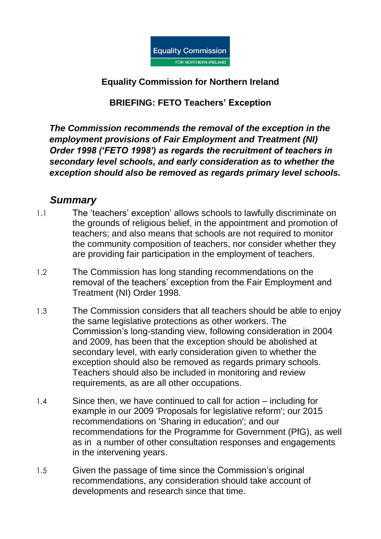

#### **Equality Commission for Northern Ireland**

### **BRIEFING: FETO Teachers' Exception**

*The Commission recommends the removal of the exception in the employment provisions of Fair Employment and Treatment (NI) Order 1998 ('FETO 1998') as regards the recruitment of teachers in secondary level schools, and early consideration as to whether the exception should also be removed as regards primary level schools.*

## *Summary*

- 1.1 The 'teachers' exception' allows schools to lawfully discriminate on the grounds of religious belief, in the appointment and promotion of teachers; and also means that schools are not required to monitor the community composition of teachers, nor consider whether they are providing fair participation in the employment of teachers.
- 1.2 The Commission has long standing recommendations on the removal of the teachers' exception from the Fair Employment and Treatment (NI) Order 1998.
- 1.3 The Commission considers that all teachers should be able to enjoy the same legislative protections as other workers. The Commission's long-standing view, following consideration in 2004 and 2009, has been that the exception should be abolished at secondary level, with early consideration given to whether the exception should also be removed as regards primary schools. Teachers should also be included in monitoring and review requirements, as are all other occupations.
- 1.4 Since then, we have continued to call for action including for example in our 2009 'Proposals for legislative reform'; our 2015 recommendations on 'Sharing in education'; and our recommendations for the Programme for Government (PfG), as well as in a number of other consultation responses and engagements in the intervening years.
- 1.5 Given the passage of time since the Commission's original recommendations, any consideration should take account of developments and research since that time.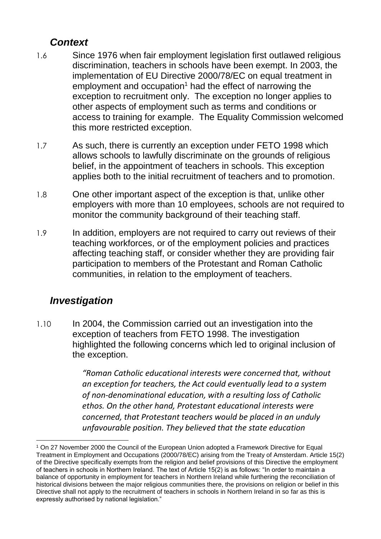# *Context*

- 1.6 Since 1976 when fair employment legislation first outlawed religious discrimination, teachers in schools have been exempt. In 2003, the implementation of EU Directive 2000/78/EC on equal treatment in employment and occupation<sup>1</sup> had the effect of narrowing the exception to recruitment only. The exception no longer applies to other aspects of employment such as terms and conditions or access to training for example. The Equality Commission welcomed this more restricted exception.
- 1.7 As such, there is currently an exception under FETO 1998 which allows schools to lawfully discriminate on the grounds of religious belief, in the appointment of teachers in schools. This exception applies both to the initial recruitment of teachers and to promotion.
- 1.8 One other important aspect of the exception is that, unlike other employers with more than 10 employees, schools are not required to monitor the community background of their teaching staff.
- 1.9 In addition, employers are not required to carry out reviews of their teaching workforces, or of the employment policies and practices affecting teaching staff, or consider whether they are providing fair participation to members of the Protestant and Roman Catholic communities, in relation to the employment of teachers.

# *Investigation*

1

1.10 In 2004, the Commission carried out an investigation into the exception of teachers from FETO 1998. The investigation highlighted the following concerns which led to original inclusion of the exception.

> *"Roman Catholic educational interests were concerned that, without an exception for teachers, the Act could eventually lead to a system of non-denominational education, with a resulting loss of Catholic ethos. On the other hand, Protestant educational interests were concerned, that Protestant teachers would be placed in an unduly unfavourable position. They believed that the state education*

<sup>1</sup> On 27 November 2000 the Council of the European Union adopted a Framework Directive for Equal Treatment in Employment and Occupations (2000/78/EC) arising from the Treaty of Amsterdam. Article 15(2) of the Directive specifically exempts from the religion and belief provisions of this Directive the employment of teachers in schools in Northern Ireland. The text of Article 15(2) is as follows: "In order to maintain a balance of opportunity in employment for teachers in Northern Ireland while furthering the reconciliation of historical divisions between the major religious communities there, the provisions on religion or belief in this Directive shall not apply to the recruitment of teachers in schools in Northern Ireland in so far as this is expressly authorised by national legislation."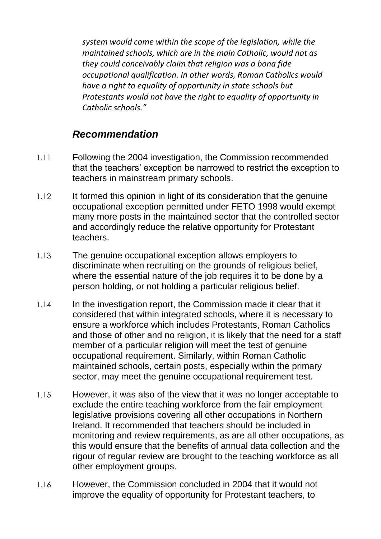*system would come within the scope of the legislation, while the maintained schools, which are in the main Catholic, would not as they could conceivably claim that religion was a bona fide occupational qualification. In other words, Roman Catholics would have a right to equality of opportunity in state schools but Protestants would not have the right to equality of opportunity in Catholic schools."*

## *Recommendation*

- 1.11 Following the 2004 investigation, the Commission recommended that the teachers' exception be narrowed to restrict the exception to teachers in mainstream primary schools.
- 1.12 It formed this opinion in light of its consideration that the genuine occupational exception permitted under FETO 1998 would exempt many more posts in the maintained sector that the controlled sector and accordingly reduce the relative opportunity for Protestant teachers.
- 1.13 The genuine occupational exception allows employers to discriminate when recruiting on the grounds of religious belief, where the essential nature of the job requires it to be done by a person holding, or not holding a particular religious belief.
- 1.14 In the investigation report, the Commission made it clear that it considered that within integrated schools, where it is necessary to ensure a workforce which includes Protestants, Roman Catholics and those of other and no religion, it is likely that the need for a staff member of a particular religion will meet the test of genuine occupational requirement. Similarly, within Roman Catholic maintained schools, certain posts, especially within the primary sector, may meet the genuine occupational requirement test.
- 1.15 However, it was also of the view that it was no longer acceptable to exclude the entire teaching workforce from the fair employment legislative provisions covering all other occupations in Northern Ireland. It recommended that teachers should be included in monitoring and review requirements, as are all other occupations, as this would ensure that the benefits of annual data collection and the rigour of regular review are brought to the teaching workforce as all other employment groups.
- 1.16 However, the Commission concluded in 2004 that it would not improve the equality of opportunity for Protestant teachers, to